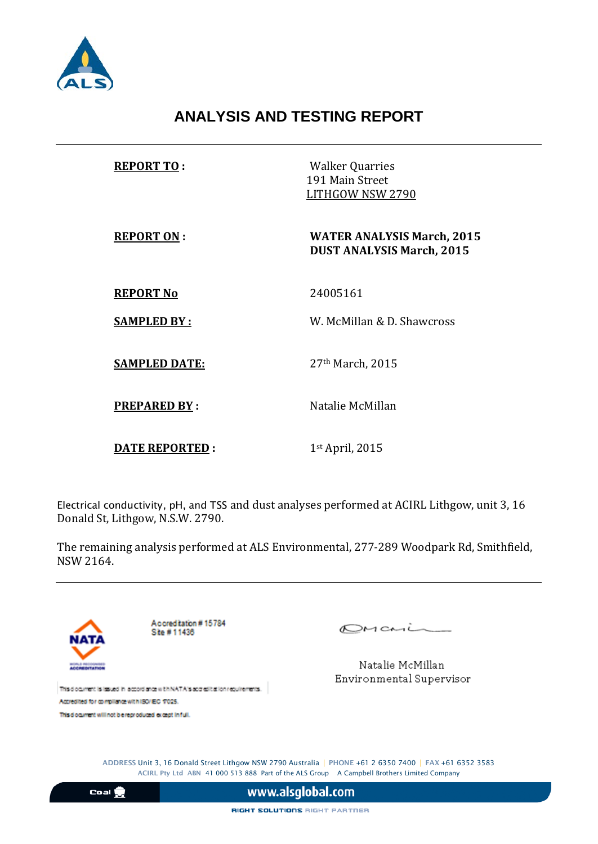

## **ANALYSIS AND TESTING REPORT**

| <b>REPORT TO:</b>     | <b>Walker Quarries</b><br>191 Main Street<br>LITHGOW NSW 2790         |
|-----------------------|-----------------------------------------------------------------------|
| <b>REPORT ON:</b>     | <b>WATER ANALYSIS March, 2015</b><br><b>DUST ANALYSIS March, 2015</b> |
| <b>REPORT No</b>      | 24005161                                                              |
| <b>SAMPLED BY:</b>    | W. McMillan & D. Shawcross                                            |
| <b>SAMPLED DATE:</b>  | 27 <sup>th</sup> March, 2015                                          |
| <b>PREPARED BY:</b>   | Natalie McMillan                                                      |
| <b>DATE REPORTED:</b> | $1st$ April, 2015                                                     |

Electrical conductivity, pH, and TSS and dust analyses performed at ACIRL Lithgow, unit 3, 16 Donald St, Lithgow, N.S.W. 2790.

The remaining analysis performed at ALS Environmental, 277-289 Woodpark Rd, Smithfield, NSW 2164.



This diocument will not bie reproduced except in full.

OMania

Natalie McMillan Environmental Supervisor

ADDRESS Unit 3, 16 Donald Street Lithgow NSW 2790 Australia | PHONE +61 2 6350 7400 | FAX +61 6352 3583 ACIRL Pty Ltd ABN 41 000 513 888 Part of the ALS Group A Campbell Brothers Limited Company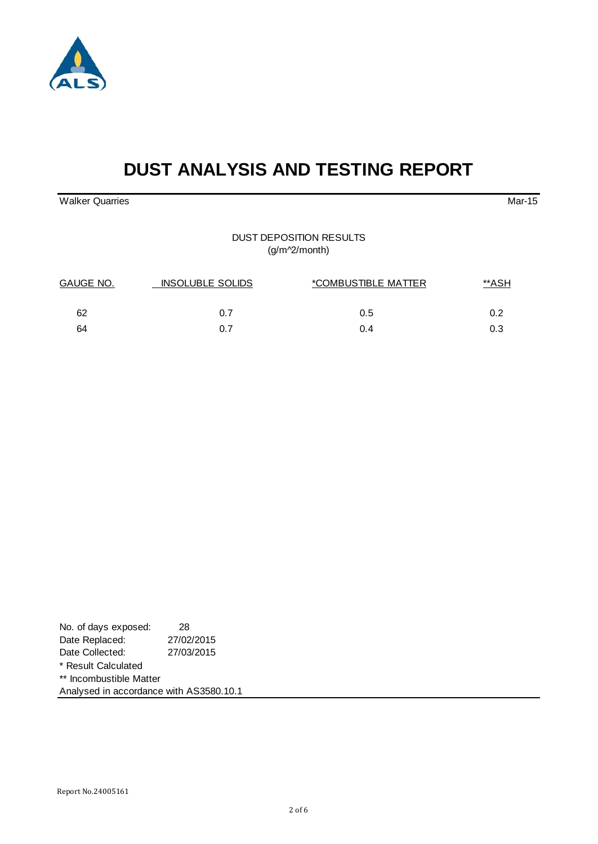

# **DUST ANALYSIS AND TESTING REPORT**

Walker Quarries Mar-15

#### DUST DEPOSITION RESULTS (g/m^2/month)

| GAUGE NO. | <b>INSOLUBLE SOLIDS</b> | *COMBUSTIBLE MATTER | **ASH |  |
|-----------|-------------------------|---------------------|-------|--|
| 62        | 0.7                     | 0.5                 | ስ 2   |  |
| 64        | በ 7                     | 0.4                 | 0.3   |  |

| No. of days exposed:                    | 28         |
|-----------------------------------------|------------|
| Date Replaced:                          | 27/02/2015 |
| Date Collected:                         | 27/03/2015 |
| * Result Calculated                     |            |
| ** Incombustible Matter                 |            |
| Analysed in accordance with AS3580.10.1 |            |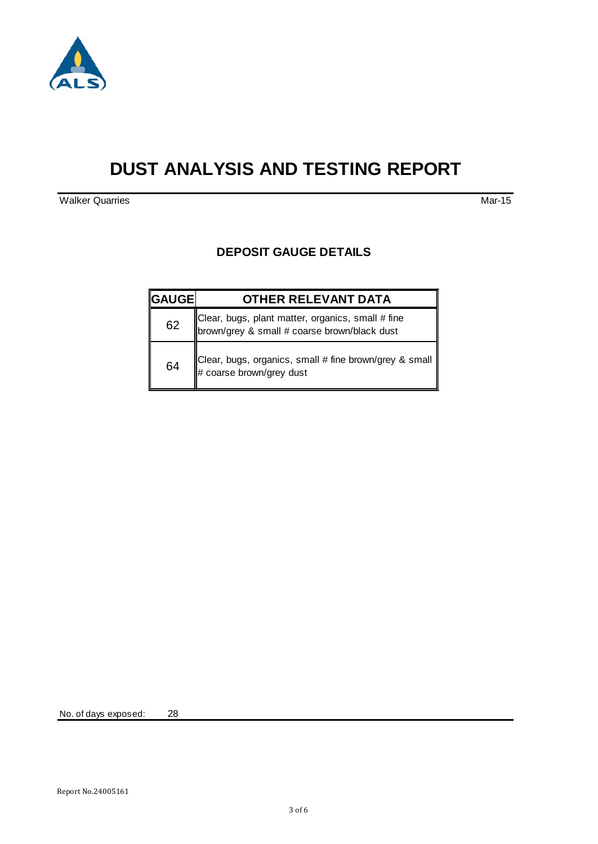

## **DUST ANALYSIS AND TESTING REPORT**

**Walker Quarries Mar-15** 

#### **DEPOSIT GAUGE DETAILS**

| <b> GAUGE </b> | <b>OTHER RELEVANT DATA</b>                                                                        |
|----------------|---------------------------------------------------------------------------------------------------|
| 62             | Clear, bugs, plant matter, organics, small # fine<br>brown/grey & small # coarse brown/black dust |
| 64             | Clear, bugs, organics, small # fine brown/grey & small $\parallel$<br># coarse brown/grey dust    |

No. of days exposed: 28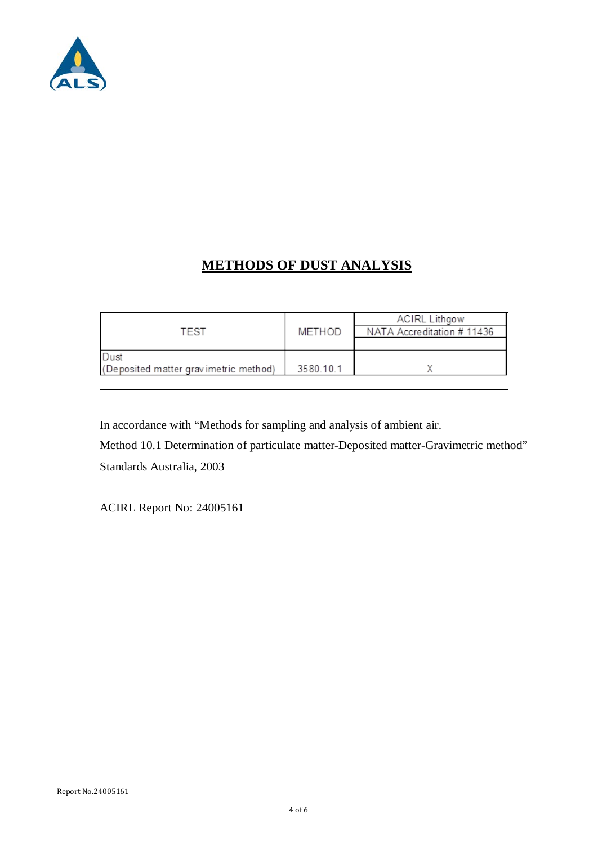

## **METHODS OF DUST ANALYSIS**

| TEST                                          | METHOD    | <b>ACIRL Lithgow</b><br>NATA Accreditation # 11436 |
|-----------------------------------------------|-----------|----------------------------------------------------|
| Dust<br>(Deposited matter gravimetric method) | 3580.10.1 |                                                    |

In accordance with "Methods for sampling and analysis of ambient air.

Method 10.1 Determination of particulate matter-Deposited matter-Gravimetric method" Standards Australia, 2003

ACIRL Report No: 24005161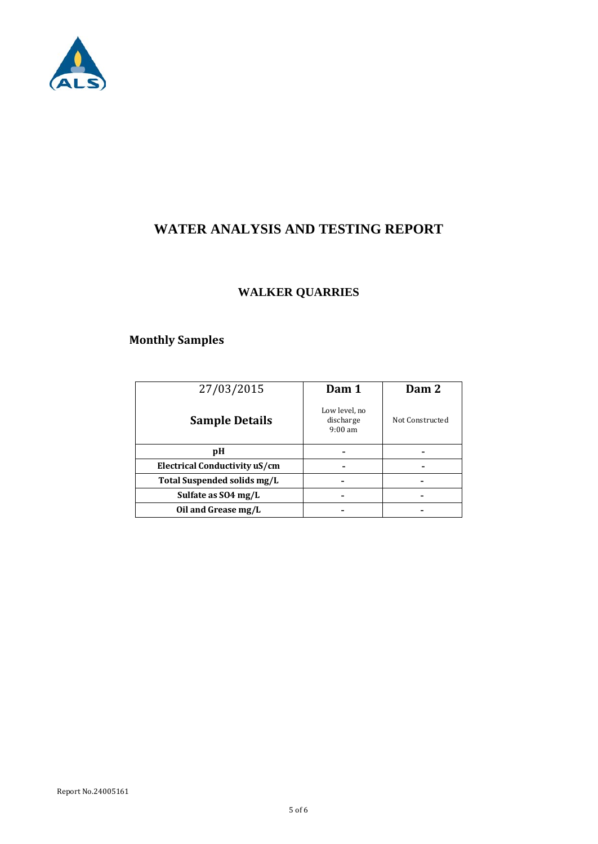

## **WATER ANALYSIS AND TESTING REPORT**

#### **WALKER QUARRIES**

### **Monthly Samples**

| 27/03/2015                    | Dam 1                                           | Dam 2           |
|-------------------------------|-------------------------------------------------|-----------------|
| <b>Sample Details</b>         | Low level, no<br>discharge<br>$9:00 \text{ am}$ | Not Constructed |
| рH                            |                                                 |                 |
| Electrical Conductivity uS/cm |                                                 |                 |
| Total Suspended solids mg/L   |                                                 |                 |
| Sulfate as SO4 mg/L           |                                                 |                 |
| Oil and Grease mg/L           |                                                 |                 |